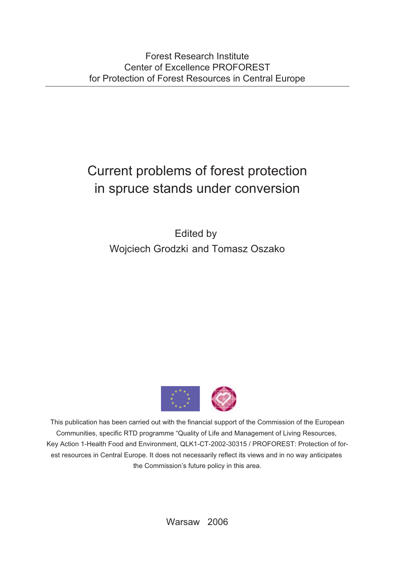## Current problems of forest protection in spruce stands under conversion

Edited by Wojciech Grodzki and Tomasz Oszako



This publication has been carried out with the financial support of the Commission of the European Communities, specific RTD programme "Quality of Life and Management of Living Resources, Key Action 1-Health Food and Environment, QLK1-CT-2002-30315 / PROFOREST: Protection of forest resources in Central Europe. It does not necessarily reflect its views and in no way anticipates the Commission's future policy in this area.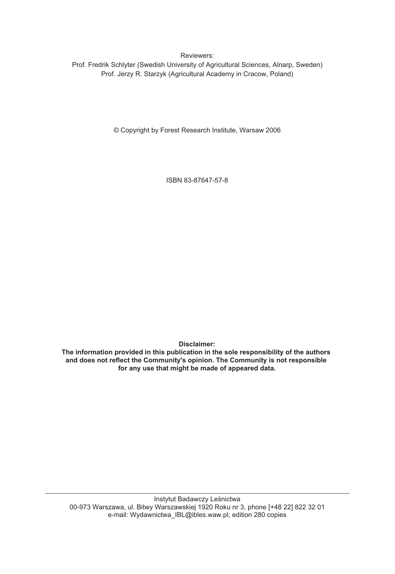Reviewers:

Prof. Fredrik Schlyter (Swedish University of Agricultural Sciences, Alnarp, Sweden) Prof. Jerzy R. Starzyk (Agricultural Academy in Cracow, Poland)

© Copyright by Forest Research Institute, Warsaw 2006

ISBN 83-87647-57-8

**Disclaimer:**

**The information provided in this publication in the sole responsibility of the authors and does not reflect the Community's opinion. The Community is not responsible for any use that might be made of appeared data.**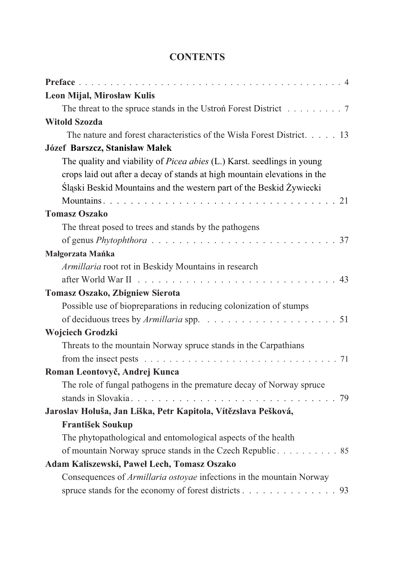| Leon Mijal, Mirosław Kulis                                                |
|---------------------------------------------------------------------------|
| The threat to the spruce stands in the Ustroń Forest District 7           |
| <b>Witold Szozda</b>                                                      |
| The nature and forest characteristics of the Wisła Forest District. 13    |
| Józef Barszcz, Stanisław Małek                                            |
| The quality and viability of Picea abies (L.) Karst. seedlings in young   |
| crops laid out after a decay of stands at high mountain elevations in the |
| Śląski Beskid Mountains and the western part of the Beskid Żywiecki       |
|                                                                           |
| <b>Tomasz Oszako</b>                                                      |
| The threat posed to trees and stands by the pathogens                     |
|                                                                           |
| Małgorzata Mańka                                                          |
| Armillaria root rot in Beskidy Mountains in research                      |
|                                                                           |
| Tomasz Oszako, Zbigniew Sierota                                           |
| Possible use of biopreparations in reducing colonization of stumps        |
|                                                                           |
| Wojciech Grodzki                                                          |
| Threats to the mountain Norway spruce stands in the Carpathians           |
|                                                                           |
| Roman Leontovyč, Andrej Kunca                                             |
| The role of fungal pathogens in the premature decay of Norway spruce      |
|                                                                           |
| Jaroslav Holuša, Jan Liška, Petr Kapitola, Vítězslava Pešková,            |
| <b>František Soukup</b>                                                   |
| The phytopathological and entomological aspects of the health             |
| of mountain Norway spruce stands in the Czech Republic 85                 |
| Adam Kaliszewski, Paweł Lech, Tomasz Oszako                               |
| Consequences of Armillaria ostoyae infections in the mountain Norway      |
| spruce stands for the economy of forest districts 93                      |

## **CONTENTS**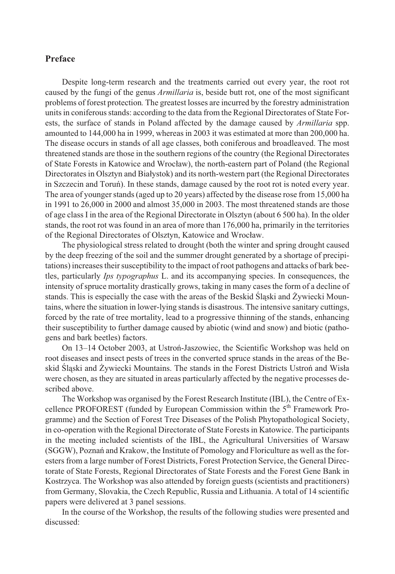## **Preface**

Despite long-term research and the treatments carried out every year, the root rot caused by the fungi of the genus *Armillaria* is, beside butt rot, one of the most significant problems of forest protection*.* The greatest losses are incurred by the forestry administration units in coniferous stands: according to the data from the Regional Directorates of State Forests, the surface of stands in Poland affected by the damage caused by *Armillaria* spp. amounted to 144,000 ha in 1999, whereas in 2003 it was estimated at more than 200,000 ha. The disease occurs in stands of all age classes, both coniferous and broadleaved. The most threatened stands are those in the southern regions of the country (the Regional Directorates of State Forests in Katowice and Wroc³aw), the north-eastern part of Poland (the Regional Directorates in Olsztyn and Białystok) and its north-western part (the Regional Directorates in Szczecin and Toruñ). In these stands, damage caused by the root rot is noted every year. The area of younger stands (aged up to 20 years) affected by the disease rose from 15,000 ha in 1991 to 26,000 in 2000 and almost 35,000 in 2003. The most threatened stands are those of age class I in the area of the Regional Directorate in Olsztyn (about 6 500 ha). In the older stands, the root rot was found in an area of more than 176,000 ha, primarily in the territories of the Regional Directorates of Olsztyn, Katowice and Wrocław.

The physiological stress related to drought (both the winter and spring drought caused by the deep freezing of the soil and the summer drought generated by a shortage of precipitations) increases their susceptibility to the impact of root pathogens and attacks of bark beetles, particularly *Ips typographus* L. and its accompanying species. In consequences, the intensity of spruce mortality drastically grows, taking in many cases the form of a decline of stands. This is especially the case with the areas of the Beskid Slaski and  $\ddot{Z}$ ywiecki Mountains, where the situation in lower-lying stands is disastrous. The intensive sanitary cuttings, forced by the rate of tree mortality, lead to a progressive thinning of the stands, enhancing their susceptibility to further damage caused by abiotic (wind and snow) and biotic (pathogens and bark beetles) factors.

On 13–14 October 2003, at Ustroñ-Jaszowiec, the Scientific Workshop was held on root diseases and insect pests of trees in the converted spruce stands in the areas of the Beskid Śląski and Żywiecki Mountains. The stands in the Forest Districts Ustroń and Wisła were chosen, as they are situated in areas particularly affected by the negative processes described above.

The Workshop was organised by the Forest Research Institute (IBL), the Centre of Excellence PROFOREST (funded by European Commission within the  $5<sup>th</sup>$  Framework Programme) and the Section of Forest Tree Diseases of the Polish Phytopathological Society, in co-operation with the Regional Directorate of State Forests in Katowice. The participants in the meeting included scientists of the IBL, the Agricultural Universities of Warsaw (SGGW), Poznañ and Krakow, the Institute of Pomology and Floriculture as well as the foresters from a large number of Forest Districts, Forest Protection Service, the General Directorate of State Forests, Regional Directorates of State Forests and the Forest Gene Bank in Kostrzyca. The Workshop was also attended by foreign guests (scientists and practitioners) from Germany, Slovakia, the Czech Republic, Russia and Lithuania. A total of 14 scientific papers were delivered at 3 panel sessions.

In the course of the Workshop, the results of the following studies were presented and discussed: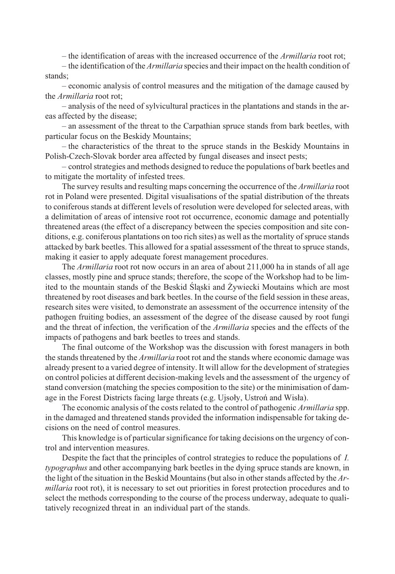– the identification of areas with the increased occurrence of the *Armillaria* root rot;

– the identification of the *Armillaria* species and their impact on the health condition of stands;

– economic analysis of control measures and the mitigation of the damage caused by the *Armillaria* root rot;

– analysis of the need of sylvicultural practices in the plantations and stands in the areas affected by the disease;

– an assessment of the threat to the Carpathian spruce stands from bark beetles, with particular focus on the Beskidy Mountains;

– the characteristics of the threat to the spruce stands in the Beskidy Mountains in Polish-Czech-Slovak border area affected by fungal diseases and insect pests;

– control strategies and methods designed to reduce the populations of bark beetles and to mitigate the mortality of infested trees.

The survey results and resulting maps concerning the occurrence of the *Armillaria* root rot in Poland were presented. Digital visualisations of the spatial distribution of the threats to coniferous stands at different levels of resolution were developed for selected areas, with a delimitation of areas of intensive root rot occurrence, economic damage and potentially threatened areas (the effect of a discrepancy between the species composition and site conditions, e.g. coniferous plantations on too rich sites) as well as the mortality of spruce stands attacked by bark beetles. This allowed for a spatial assessment of the threat to spruce stands, making it easier to apply adequate forest management procedures.

The *Armillaria* root rot now occurs in an area of about 211,000 ha in stands of all age classes, mostly pine and spruce stands; therefore, the scope of the Workshop had to be limited to the mountain stands of the Beskid Slaski and Żywiecki Moutains which are most threatened by root diseases and bark beetles. In the course of the field session in these areas, research sites were visited, to demonstrate an assessment of the occurrence intensity of the pathogen fruiting bodies, an assessment of the degree of the disease caused by root fungi and the threat of infection, the verification of the *Armillaria* species and the effects of the impacts of pathogens and bark beetles to trees and stands.

The final outcome of the Workshop was the discussion with forest managers in both the stands threatened by the *Armillaria* root rot and the stands where economic damage was already present to a varied degree of intensity. It will allow for the development of strategies on control policies at different decision-making levels and the assessment of the urgency of stand conversion (matching the species composition to the site) or the minimisation of damage in the Forest Districts facing large threats (e.g. Ujsoły, Ustroń and Wisła).

The economic analysis of the costs related to the control of pathogenic *Armillaria* spp. in the damaged and threatened stands provided the information indispensable for taking decisions on the need of control measures.

This knowledge is of particular significance for taking decisions on the urgency of control and intervention measures.

Despite the fact that the principles of control strategies to reduce the populations of *I. typographus* and other accompanying bark beetles in the dying spruce stands are known, in the light of the situation in the Beskid Mountains (but also in other stands affected by the *Armillaria* root rot), it is necessary to set out priorities in forest protection procedures and to select the methods corresponding to the course of the process underway, adequate to qualitatively recognized threat in an individual part of the stands.